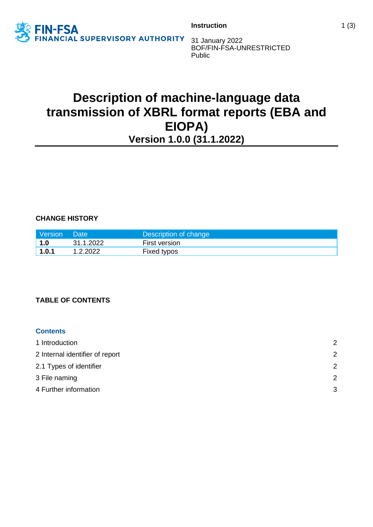

**Instruction** 1 (3)

31 January 2022 BOF/FIN-FSA-UNRESTRICTED Public

# **Description of machine-language data transmission of XBRL format reports (EBA and EIOPA) Version 1.0.0 (31.1.2022)**

**CHANGE HISTORY**

| Version | Date:     | Description of change |
|---------|-----------|-----------------------|
| 1.0     | 31.1.2022 | <b>First version</b>  |
| 1.0.1   | 1.2.2022  | Fixed typos           |

# **TABLE OF CONTENTS**

# **Contents**

| 1 Introduction                  | $\mathcal{P}$ |
|---------------------------------|---------------|
| 2 Internal identifier of report | 2             |
| 2.1 Types of identifier         | 2             |
| 3 File naming                   | 2             |
| 4 Further information           | 3             |
|                                 |               |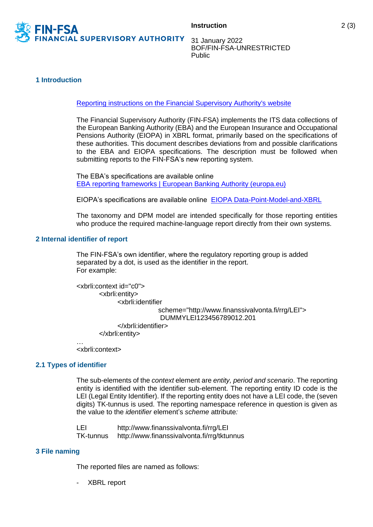

31 January 2022 BOF/FIN-FSA-UNRESTRICTED Public

### <span id="page-1-0"></span>**1 Introduction**

[Reporting instructions on the Financial Supervisory Authority's website](https://www.finanssivalvonta.fi/en/reporting/)

The Financial Supervisory Authority (FIN-FSA) implements the ITS data collections of the European Banking Authority (EBA) and the European Insurance and Occupational Pensions Authority (EIOPA) in XBRL format, primarily based on the specifications of these authorities. This document describes deviations from and possible clarifications to the EBA and EIOPA specifications. The description must be followed when submitting reports to the FIN-FSA's new reporting system.

The EBA's specifications are available online [EBA reporting frameworks | European Banking Authority \(europa.eu\)](https://www.eba.europa.eu/risk-analysis-and-data/reporting-frameworks/)

EIOPA's specifications are available online [EIOPA Data-Point-Model-and-XBRL](https://eiopa.europa.eu/Pages/Supervision/Insurance/Data-Point-Model-and-XBRL.aspx)

The taxonomy and DPM model are intended specifically for those reporting entities who produce the required machine-language report directly from their own systems.

#### <span id="page-1-1"></span>**2 Internal identifier of report**

The FIN-FSA's own identifier, where the regulatory reporting group is added separated by a dot, is used as the identifier in the report. For example:

```
<xbrli:context id="c0">
       <xbrli:entity>
             <xbrli:identifier
                           scheme="http://www.finanssivalvonta.fi/rrg/LEI">
                           DUMMYLEI123456789012.201
             </xbrli:identifier>
       </xbrli:entity>
…
```
<xbrli:context>

#### <span id="page-1-2"></span>**2.1 Types of identifier**

The sub-elements of the *context* element are *entity, period and scenario*. The reporting entity is identified with the identifier sub-element. The reporting entity ID code is the LEI (Legal Entity Identifier). If the reporting entity does not have a LEI code, the (seven digits) TK-tunnus is used. The reporting namespace reference in question is given as the value to the *identifier* element's *scheme* attribute*:*

LEI http://www.finanssivalvonta.fi/rrg/LEI TK-tunnus http://www.finanssivalvonta.fi/rrg/tktunnus

#### <span id="page-1-3"></span>**3 File naming**

The reported files are named as follows:

- XBRL report